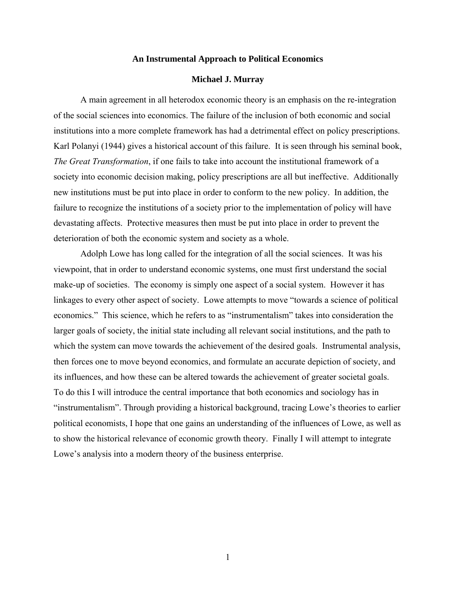### **An Instrumental Approach to Political Economics**

## **Michael J. Murray**

A main agreement in all heterodox economic theory is an emphasis on the re-integration of the social sciences into economics. The failure of the inclusion of both economic and social institutions into a more complete framework has had a detrimental effect on policy prescriptions. Karl Polanyi (1944) gives a historical account of this failure. It is seen through his seminal book, *The Great Transformation*, if one fails to take into account the institutional framework of a society into economic decision making, policy prescriptions are all but ineffective. Additionally new institutions must be put into place in order to conform to the new policy. In addition, the failure to recognize the institutions of a society prior to the implementation of policy will have devastating affects. Protective measures then must be put into place in order to prevent the deterioration of both the economic system and society as a whole.

Adolph Lowe has long called for the integration of all the social sciences. It was his viewpoint, that in order to understand economic systems, one must first understand the social make-up of societies. The economy is simply one aspect of a social system. However it has linkages to every other aspect of society. Lowe attempts to move "towards a science of political economics." This science, which he refers to as "instrumentalism" takes into consideration the larger goals of society, the initial state including all relevant social institutions, and the path to which the system can move towards the achievement of the desired goals. Instrumental analysis, then forces one to move beyond economics, and formulate an accurate depiction of society, and its influences, and how these can be altered towards the achievement of greater societal goals. To do this I will introduce the central importance that both economics and sociology has in "instrumentalism". Through providing a historical background, tracing Lowe's theories to earlier political economists, I hope that one gains an understanding of the influences of Lowe, as well as to show the historical relevance of economic growth theory. Finally I will attempt to integrate Lowe's analysis into a modern theory of the business enterprise.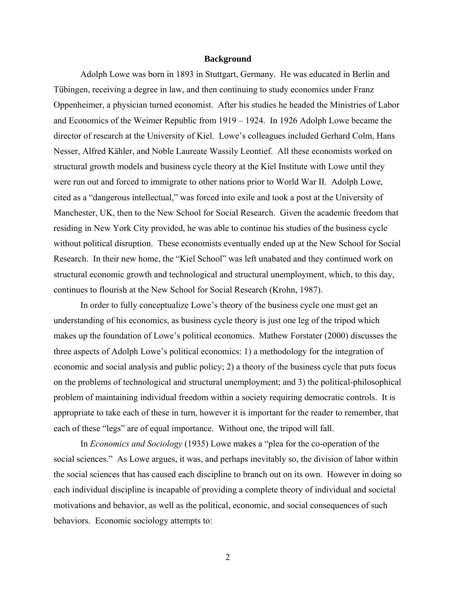#### **Background**

Adolph Lowe was born in 1893 in Stuttgart, Germany. He was educated in Berlin and Tübingen, receiving a degree in law, and then continuing to study economics under Franz Oppenheimer, a physician turned economist. After his studies he headed the Ministries of Labor and Economics of the Weimer Republic from 1919 – 1924. In 1926 Adolph Lowe became the director of research at the University of Kiel. Lowe's colleagues included Gerhard Colm, Hans Nesser, Alfred Kähler, and Noble Laureate Wassily Leontief. All these economists worked on structural growth models and business cycle theory at the Kiel Institute with Lowe until they were run out and forced to immigrate to other nations prior to World War II. Adolph Lowe, cited as a "dangerous intellectual," was forced into exile and took a post at the University of Manchester, UK, then to the New School for Social Research. Given the academic freedom that residing in New York City provided, he was able to continue his studies of the business cycle without political disruption. These economists eventually ended up at the New School for Social Research. In their new home, the "Kiel School" was left unabated and they continued work on structural economic growth and technological and structural unemployment, which, to this day, continues to flourish at the New School for Social Research (Krohn, 1987).

In order to fully conceptualize Lowe's theory of the business cycle one must get an understanding of his economics, as business cycle theory is just one leg of the tripod which makes up the foundation of Lowe's political economics. Mathew Forstater (2000) discusses the three aspects of Adolph Lowe's political economics: 1) a methodology for the integration of economic and social analysis and public policy; 2) a theory of the business cycle that puts focus on the problems of technological and structural unemployment; and 3) the political-philosophical problem of maintaining individual freedom within a society requiring democratic controls. It is appropriate to take each of these in turn, however it is important for the reader to remember, that each of these "legs" are of equal importance. Without one, the tripod will fall.

In *Economics and Sociology* (1935) Lowe makes a "plea for the co-operation of the social sciences." As Lowe argues, it was, and perhaps inevitably so, the division of labor within the social sciences that has caused each discipline to branch out on its own. However in doing so each individual discipline is incapable of providing a complete theory of individual and societal motivations and behavior, as well as the political, economic, and social consequences of such behaviors. Economic sociology attempts to: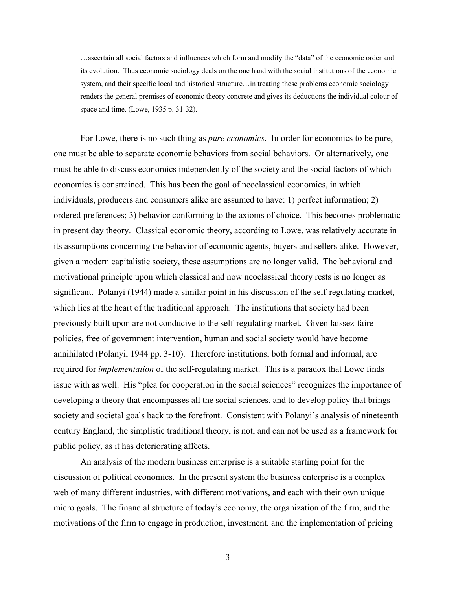…ascertain all social factors and influences which form and modify the "data" of the economic order and its evolution. Thus economic sociology deals on the one hand with the social institutions of the economic system, and their specific local and historical structure...in treating these problems economic sociology renders the general premises of economic theory concrete and gives its deductions the individual colour of space and time. (Lowe, 1935 p. 31-32).

For Lowe, there is no such thing as *pure economics*. In order for economics to be pure, one must be able to separate economic behaviors from social behaviors. Or alternatively, one must be able to discuss economics independently of the society and the social factors of which economics is constrained. This has been the goal of neoclassical economics, in which individuals, producers and consumers alike are assumed to have: 1) perfect information; 2) ordered preferences; 3) behavior conforming to the axioms of choice. This becomes problematic in present day theory. Classical economic theory, according to Lowe, was relatively accurate in its assumptions concerning the behavior of economic agents, buyers and sellers alike. However, given a modern capitalistic society, these assumptions are no longer valid. The behavioral and motivational principle upon which classical and now neoclassical theory rests is no longer as significant. Polanyi (1944) made a similar point in his discussion of the self-regulating market, which lies at the heart of the traditional approach. The institutions that society had been previously built upon are not conducive to the self-regulating market. Given laissez-faire policies, free of government intervention, human and social society would have become annihilated (Polanyi, 1944 pp. 3-10). Therefore institutions, both formal and informal, are required for *implementation* of the self-regulating market. This is a paradox that Lowe finds issue with as well. His "plea for cooperation in the social sciences" recognizes the importance of developing a theory that encompasses all the social sciences, and to develop policy that brings society and societal goals back to the forefront. Consistent with Polanyi's analysis of nineteenth century England, the simplistic traditional theory, is not, and can not be used as a framework for public policy, as it has deteriorating affects.

An analysis of the modern business enterprise is a suitable starting point for the discussion of political economics. In the present system the business enterprise is a complex web of many different industries, with different motivations, and each with their own unique micro goals. The financial structure of today's economy, the organization of the firm, and the motivations of the firm to engage in production, investment, and the implementation of pricing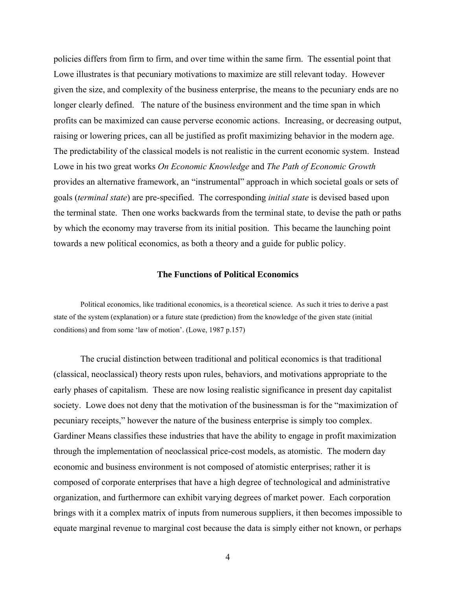policies differs from firm to firm, and over time within the same firm. The essential point that Lowe illustrates is that pecuniary motivations to maximize are still relevant today. However given the size, and complexity of the business enterprise, the means to the pecuniary ends are no longer clearly defined. The nature of the business environment and the time span in which profits can be maximized can cause perverse economic actions. Increasing, or decreasing output, raising or lowering prices, can all be justified as profit maximizing behavior in the modern age. The predictability of the classical models is not realistic in the current economic system. Instead Lowe in his two great works *On Economic Knowledge* and *The Path of Economic Growth* provides an alternative framework, an "instrumental" approach in which societal goals or sets of goals (*terminal state*) are pre-specified. The corresponding *initial state* is devised based upon the terminal state. Then one works backwards from the terminal state, to devise the path or paths by which the economy may traverse from its initial position. This became the launching point towards a new political economics, as both a theory and a guide for public policy.

# **The Functions of Political Economics**

Political economics, like traditional economics, is a theoretical science. As such it tries to derive a past state of the system (explanation) or a future state (prediction) from the knowledge of the given state (initial conditions) and from some 'law of motion'. (Lowe, 1987 p.157)

 The crucial distinction between traditional and political economics is that traditional (classical, neoclassical) theory rests upon rules, behaviors, and motivations appropriate to the early phases of capitalism. These are now losing realistic significance in present day capitalist society. Lowe does not deny that the motivation of the businessman is for the "maximization of pecuniary receipts," however the nature of the business enterprise is simply too complex. Gardiner Means classifies these industries that have the ability to engage in profit maximization through the implementation of neoclassical price-cost models, as atomistic. The modern day economic and business environment is not composed of atomistic enterprises; rather it is composed of corporate enterprises that have a high degree of technological and administrative organization, and furthermore can exhibit varying degrees of market power. Each corporation brings with it a complex matrix of inputs from numerous suppliers, it then becomes impossible to equate marginal revenue to marginal cost because the data is simply either not known, or perhaps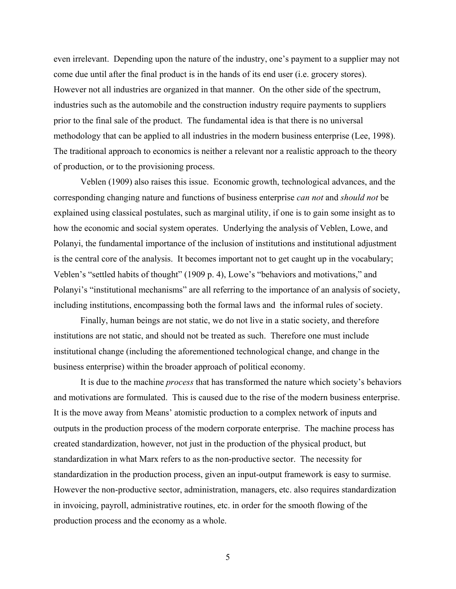even irrelevant. Depending upon the nature of the industry, one's payment to a supplier may not come due until after the final product is in the hands of its end user (i.e. grocery stores). However not all industries are organized in that manner. On the other side of the spectrum, industries such as the automobile and the construction industry require payments to suppliers prior to the final sale of the product. The fundamental idea is that there is no universal methodology that can be applied to all industries in the modern business enterprise (Lee, 1998). The traditional approach to economics is neither a relevant nor a realistic approach to the theory of production, or to the provisioning process.

 Veblen (1909) also raises this issue. Economic growth, technological advances, and the corresponding changing nature and functions of business enterprise *can not* and *should not* be explained using classical postulates, such as marginal utility, if one is to gain some insight as to how the economic and social system operates. Underlying the analysis of Veblen, Lowe, and Polanyi, the fundamental importance of the inclusion of institutions and institutional adjustment is the central core of the analysis. It becomes important not to get caught up in the vocabulary; Veblen's "settled habits of thought" (1909 p. 4), Lowe's "behaviors and motivations," and Polanyi's "institutional mechanisms" are all referring to the importance of an analysis of society, including institutions, encompassing both the formal laws and the informal rules of society.

Finally, human beings are not static, we do not live in a static society, and therefore institutions are not static, and should not be treated as such. Therefore one must include institutional change (including the aforementioned technological change, and change in the business enterprise) within the broader approach of political economy.

 It is due to the machine *process* that has transformed the nature which society's behaviors and motivations are formulated. This is caused due to the rise of the modern business enterprise. It is the move away from Means' atomistic production to a complex network of inputs and outputs in the production process of the modern corporate enterprise. The machine process has created standardization, however, not just in the production of the physical product, but standardization in what Marx refers to as the non-productive sector. The necessity for standardization in the production process, given an input-output framework is easy to surmise. However the non-productive sector, administration, managers, etc. also requires standardization in invoicing, payroll, administrative routines, etc. in order for the smooth flowing of the production process and the economy as a whole.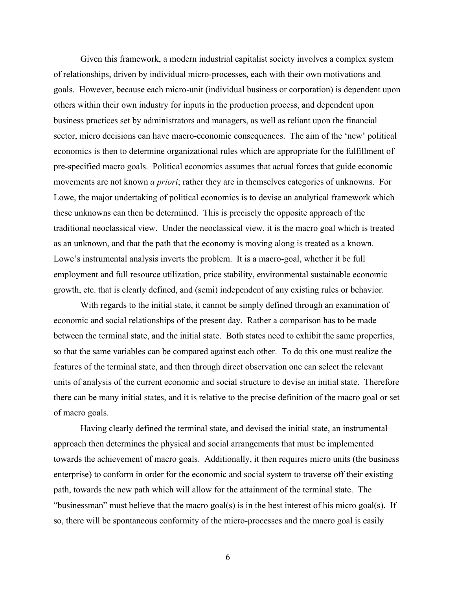Given this framework, a modern industrial capitalist society involves a complex system of relationships, driven by individual micro-processes, each with their own motivations and goals. However, because each micro-unit (individual business or corporation) is dependent upon others within their own industry for inputs in the production process, and dependent upon business practices set by administrators and managers, as well as reliant upon the financial sector, micro decisions can have macro-economic consequences. The aim of the 'new' political economics is then to determine organizational rules which are appropriate for the fulfillment of pre-specified macro goals. Political economics assumes that actual forces that guide economic movements are not known *a priori*; rather they are in themselves categories of unknowns. For Lowe, the major undertaking of political economics is to devise an analytical framework which these unknowns can then be determined. This is precisely the opposite approach of the traditional neoclassical view. Under the neoclassical view, it is the macro goal which is treated as an unknown, and that the path that the economy is moving along is treated as a known. Lowe's instrumental analysis inverts the problem. It is a macro-goal, whether it be full employment and full resource utilization, price stability, environmental sustainable economic growth, etc. that is clearly defined, and (semi) independent of any existing rules or behavior.

With regards to the initial state, it cannot be simply defined through an examination of economic and social relationships of the present day. Rather a comparison has to be made between the terminal state, and the initial state. Both states need to exhibit the same properties, so that the same variables can be compared against each other. To do this one must realize the features of the terminal state, and then through direct observation one can select the relevant units of analysis of the current economic and social structure to devise an initial state. Therefore there can be many initial states, and it is relative to the precise definition of the macro goal or set of macro goals.

Having clearly defined the terminal state, and devised the initial state, an instrumental approach then determines the physical and social arrangements that must be implemented towards the achievement of macro goals. Additionally, it then requires micro units (the business enterprise) to conform in order for the economic and social system to traverse off their existing path, towards the new path which will allow for the attainment of the terminal state. The "businessman" must believe that the macro goal(s) is in the best interest of his micro goal(s). If so, there will be spontaneous conformity of the micro-processes and the macro goal is easily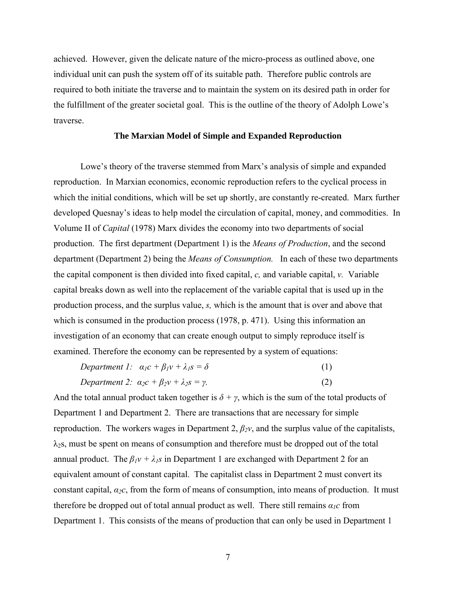achieved. However, given the delicate nature of the micro-process as outlined above, one individual unit can push the system off of its suitable path. Therefore public controls are required to both initiate the traverse and to maintain the system on its desired path in order for the fulfillment of the greater societal goal. This is the outline of the theory of Adolph Lowe's traverse.

## **The Marxian Model of Simple and Expanded Reproduction**

Lowe's theory of the traverse stemmed from Marx's analysis of simple and expanded reproduction. In Marxian economics, economic reproduction refers to the cyclical process in which the initial conditions, which will be set up shortly, are constantly re-created. Marx further developed Quesnay's ideas to help model the circulation of capital, money, and commodities. In Volume II of *Capital* (1978) Marx divides the economy into two departments of social production. The first department (Department 1) is the *Means of Production*, and the second department (Department 2) being the *Means of Consumption.* In each of these two departments the capital component is then divided into fixed capital, *c,* and variable capital, *v.* Variable capital breaks down as well into the replacement of the variable capital that is used up in the production process, and the surplus value, *s,* which is the amount that is over and above that which is consumed in the production process (1978, p. 471). Using this information an investigation of an economy that can create enough output to simply reproduce itself is examined. Therefore the economy can be represented by a system of equations:

| Department 1: $\alpha_1 c + \beta_1 v + \lambda_1 s = \delta$   |     |
|-----------------------------------------------------------------|-----|
| Department 2: $\alpha_2 c + \beta_2 v + \lambda_2 s = \gamma$ . | (2) |

And the total annual product taken together is  $\delta + \gamma$ , which is the sum of the total products of Department 1 and Department 2. There are transactions that are necessary for simple reproduction. The workers wages in Department 2, *β2v*, and the surplus value of the capitalists,  $\lambda_2$ s, must be spent on means of consumption and therefore must be dropped out of the total annual product. The  $\beta_l v + \lambda_l s$  in Department 1 are exchanged with Department 2 for an equivalent amount of constant capital. The capitalist class in Department 2 must convert its constant capital, *α2c*, from the form of means of consumption, into means of production. It must therefore be dropped out of total annual product as well. There still remains  $a_1c$  from Department 1. This consists of the means of production that can only be used in Department 1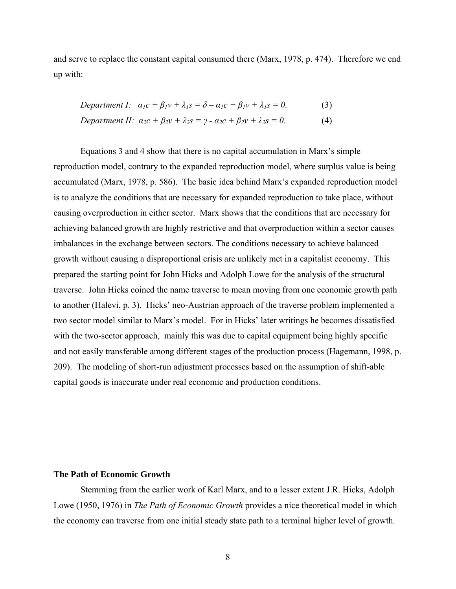and serve to replace the constant capital consumed there (Marx, 1978, p. 474). Therefore we end up with:

Department I: 
$$
\alpha_1 c + \beta_1 v + \lambda_1 s = \delta - \alpha_1 c + \beta_1 v + \lambda_1 s = 0.
$$
 (3)  
Department II:  $\alpha_2 c + \beta_2 v + \lambda_2 s = \gamma - \alpha_2 c + \beta_2 v + \lambda_2 s = 0.$  (4)

Equations 3 and 4 show that there is no capital accumulation in Marx's simple reproduction model, contrary to the expanded reproduction model, where surplus value is being accumulated (Marx, 1978, p. 586). The basic idea behind Marx's expanded reproduction model is to analyze the conditions that are necessary for expanded reproduction to take place, without causing overproduction in either sector. Marx shows that the conditions that are necessary for achieving balanced growth are highly restrictive and that overproduction within a sector causes imbalances in the exchange between sectors. The conditions necessary to achieve balanced growth without causing a disproportional crisis are unlikely met in a capitalist economy. This prepared the starting point for John Hicks and Adolph Lowe for the analysis of the structural traverse. John Hicks coined the name traverse to mean moving from one economic growth path to another (Halevi, p. 3). Hicks' neo-Austrian approach of the traverse problem implemented a two sector model similar to Marx's model. For in Hicks' later writings he becomes dissatisfied with the two-sector approach, mainly this was due to capital equipment being highly specific and not easily transferable among different stages of the production process (Hagemann, 1998, p. 209). The modeling of short-run adjustment processes based on the assumption of shift-able capital goods is inaccurate under real economic and production conditions.

# **The Path of Economic Growth**

Stemming from the earlier work of Karl Marx, and to a lesser extent J.R. Hicks, Adolph Lowe (1950, 1976) in *The Path of Economic Growth* provides a nice theoretical model in which the economy can traverse from one initial steady state path to a terminal higher level of growth.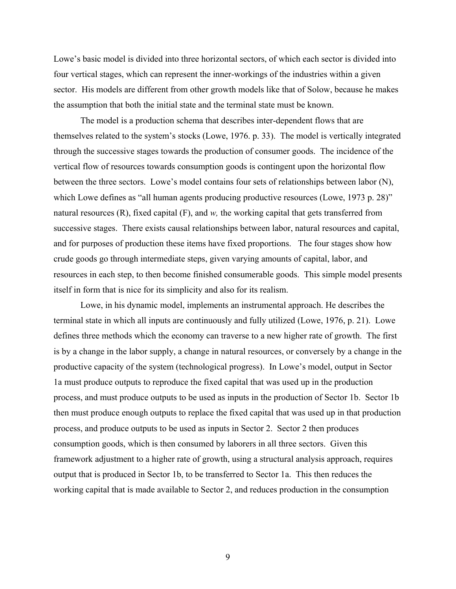Lowe's basic model is divided into three horizontal sectors, of which each sector is divided into four vertical stages, which can represent the inner-workings of the industries within a given sector. His models are different from other growth models like that of Solow, because he makes the assumption that both the initial state and the terminal state must be known.

 The model is a production schema that describes inter-dependent flows that are themselves related to the system's stocks (Lowe, 1976. p. 33). The model is vertically integrated through the successive stages towards the production of consumer goods. The incidence of the vertical flow of resources towards consumption goods is contingent upon the horizontal flow between the three sectors. Lowe's model contains four sets of relationships between labor (N), which Lowe defines as "all human agents producing productive resources (Lowe, 1973 p. 28)" natural resources (R), fixed capital (F), and *w,* the working capital that gets transferred from successive stages. There exists causal relationships between labor, natural resources and capital, and for purposes of production these items have fixed proportions. The four stages show how crude goods go through intermediate steps, given varying amounts of capital, labor, and resources in each step, to then become finished consumerable goods. This simple model presents itself in form that is nice for its simplicity and also for its realism.

 Lowe, in his dynamic model, implements an instrumental approach. He describes the terminal state in which all inputs are continuously and fully utilized (Lowe, 1976, p. 21). Lowe defines three methods which the economy can traverse to a new higher rate of growth. The first is by a change in the labor supply, a change in natural resources, or conversely by a change in the productive capacity of the system (technological progress). In Lowe's model, output in Sector 1a must produce outputs to reproduce the fixed capital that was used up in the production process, and must produce outputs to be used as inputs in the production of Sector 1b. Sector 1b then must produce enough outputs to replace the fixed capital that was used up in that production process, and produce outputs to be used as inputs in Sector 2. Sector 2 then produces consumption goods, which is then consumed by laborers in all three sectors. Given this framework adjustment to a higher rate of growth, using a structural analysis approach, requires output that is produced in Sector 1b, to be transferred to Sector 1a. This then reduces the working capital that is made available to Sector 2, and reduces production in the consumption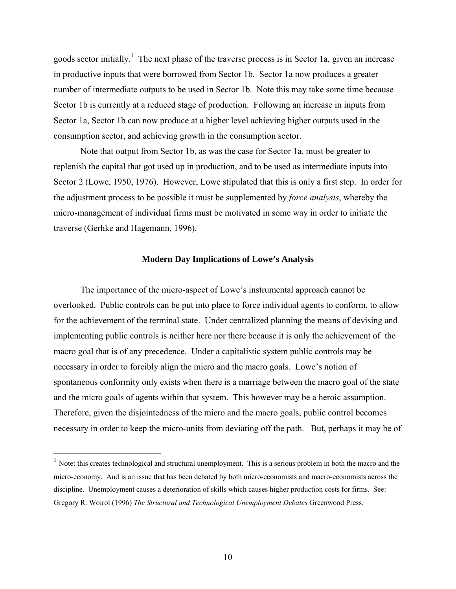goods sector initially.<sup>1</sup> The next phase of the traverse process is in Sector 1a, given an increase in productive inputs that were borrowed from Sector 1b. Sector 1a now produces a greater number of intermediate outputs to be used in Sector 1b. Note this may take some time because Sector 1b is currently at a reduced stage of production. Following an increase in inputs from Sector 1a, Sector 1b can now produce at a higher level achieving higher outputs used in the consumption sector, and achieving growth in the consumption sector.

Note that output from Sector 1b, as was the case for Sector 1a, must be greater to replenish the capital that got used up in production, and to be used as intermediate inputs into Sector 2 (Lowe, 1950, 1976). However, Lowe stipulated that this is only a first step. In order for the adjustment process to be possible it must be supplemented by *force analysis*, whereby the micro-management of individual firms must be motivated in some way in order to initiate the traverse (Gerhke and Hagemann, 1996).

#### **Modern Day Implications of Lowe's Analysis**

The importance of the micro-aspect of Lowe's instrumental approach cannot be overlooked. Public controls can be put into place to force individual agents to conform, to allow for the achievement of the terminal state. Under centralized planning the means of devising and implementing public controls is neither here nor there because it is only the achievement of the macro goal that is of any precedence. Under a capitalistic system public controls may be necessary in order to forcibly align the micro and the macro goals. Lowe's notion of spontaneous conformity only exists when there is a marriage between the macro goal of the state and the micro goals of agents within that system. This however may be a heroic assumption. Therefore, given the disjointedness of the micro and the macro goals, public control becomes necessary in order to keep the micro-units from deviating off the path. But, perhaps it may be of

 $\overline{a}$ 

<sup>&</sup>lt;sup>1</sup> Note: this creates technological and structural unemployment. This is a serious problem in both the macro and the micro-economy. And is an issue that has been debated by both micro-economists and macro-economists across the discipline. Unemployment causes a deterioration of skills which causes higher production costs for firms. See: Gregory R. Woirol (1996) *The Structural and Technological Unemployment Debates* Greenwood Press.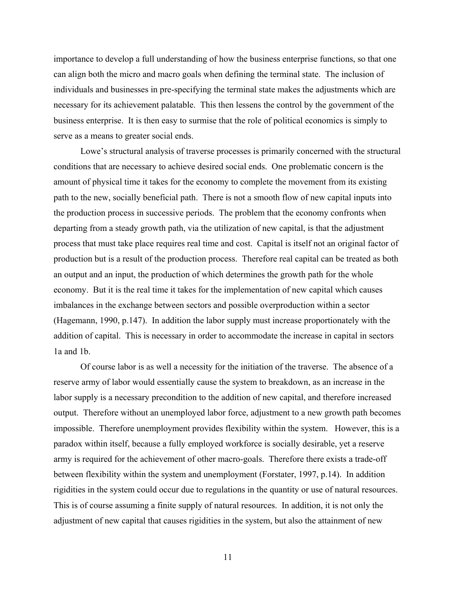importance to develop a full understanding of how the business enterprise functions, so that one can align both the micro and macro goals when defining the terminal state. The inclusion of individuals and businesses in pre-specifying the terminal state makes the adjustments which are necessary for its achievement palatable. This then lessens the control by the government of the business enterprise. It is then easy to surmise that the role of political economics is simply to serve as a means to greater social ends.

 Lowe's structural analysis of traverse processes is primarily concerned with the structural conditions that are necessary to achieve desired social ends. One problematic concern is the amount of physical time it takes for the economy to complete the movement from its existing path to the new, socially beneficial path. There is not a smooth flow of new capital inputs into the production process in successive periods. The problem that the economy confronts when departing from a steady growth path, via the utilization of new capital, is that the adjustment process that must take place requires real time and cost. Capital is itself not an original factor of production but is a result of the production process. Therefore real capital can be treated as both an output and an input, the production of which determines the growth path for the whole economy. But it is the real time it takes for the implementation of new capital which causes imbalances in the exchange between sectors and possible overproduction within a sector (Hagemann, 1990, p.147). In addition the labor supply must increase proportionately with the addition of capital. This is necessary in order to accommodate the increase in capital in sectors 1a and 1b.

 Of course labor is as well a necessity for the initiation of the traverse. The absence of a reserve army of labor would essentially cause the system to breakdown, as an increase in the labor supply is a necessary precondition to the addition of new capital, and therefore increased output. Therefore without an unemployed labor force, adjustment to a new growth path becomes impossible. Therefore unemployment provides flexibility within the system. However, this is a paradox within itself, because a fully employed workforce is socially desirable, yet a reserve army is required for the achievement of other macro-goals. Therefore there exists a trade-off between flexibility within the system and unemployment (Forstater, 1997, p.14). In addition rigidities in the system could occur due to regulations in the quantity or use of natural resources. This is of course assuming a finite supply of natural resources. In addition, it is not only the adjustment of new capital that causes rigidities in the system, but also the attainment of new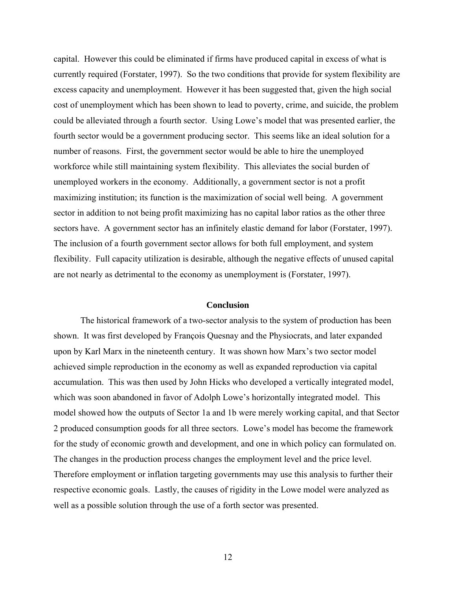capital. However this could be eliminated if firms have produced capital in excess of what is currently required (Forstater, 1997). So the two conditions that provide for system flexibility are excess capacity and unemployment. However it has been suggested that, given the high social cost of unemployment which has been shown to lead to poverty, crime, and suicide, the problem could be alleviated through a fourth sector. Using Lowe's model that was presented earlier, the fourth sector would be a government producing sector. This seems like an ideal solution for a number of reasons. First, the government sector would be able to hire the unemployed workforce while still maintaining system flexibility. This alleviates the social burden of unemployed workers in the economy. Additionally, a government sector is not a profit maximizing institution; its function is the maximization of social well being. A government sector in addition to not being profit maximizing has no capital labor ratios as the other three sectors have. A government sector has an infinitely elastic demand for labor (Forstater, 1997). The inclusion of a fourth government sector allows for both full employment, and system flexibility. Full capacity utilization is desirable, although the negative effects of unused capital are not nearly as detrimental to the economy as unemployment is (Forstater, 1997).

#### **Conclusion**

 The historical framework of a two-sector analysis to the system of production has been shown. It was first developed by François Quesnay and the Physiocrats, and later expanded upon by Karl Marx in the nineteenth century. It was shown how Marx's two sector model achieved simple reproduction in the economy as well as expanded reproduction via capital accumulation. This was then used by John Hicks who developed a vertically integrated model, which was soon abandoned in favor of Adolph Lowe's horizontally integrated model. This model showed how the outputs of Sector 1a and 1b were merely working capital, and that Sector 2 produced consumption goods for all three sectors. Lowe's model has become the framework for the study of economic growth and development, and one in which policy can formulated on. The changes in the production process changes the employment level and the price level. Therefore employment or inflation targeting governments may use this analysis to further their respective economic goals. Lastly, the causes of rigidity in the Lowe model were analyzed as well as a possible solution through the use of a forth sector was presented.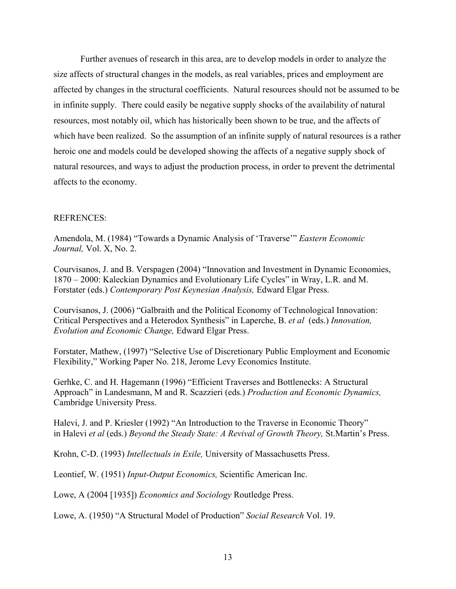Further avenues of research in this area, are to develop models in order to analyze the size affects of structural changes in the models, as real variables, prices and employment are affected by changes in the structural coefficients. Natural resources should not be assumed to be in infinite supply. There could easily be negative supply shocks of the availability of natural resources, most notably oil, which has historically been shown to be true, and the affects of which have been realized. So the assumption of an infinite supply of natural resources is a rather heroic one and models could be developed showing the affects of a negative supply shock of natural resources, and ways to adjust the production process, in order to prevent the detrimental affects to the economy.

# REFRENCES:

Amendola, M. (1984) "Towards a Dynamic Analysis of 'Traverse'" *Eastern Economic Journal,* Vol. X, No. 2.

Courvisanos, J. and B. Verspagen (2004) "Innovation and Investment in Dynamic Economies, 1870 – 2000: Kaleckian Dynamics and Evolutionary Life Cycles" in Wray, L.R. and M. Forstater (eds.) *Contemporary Post Keynesian Analysis,* Edward Elgar Press.

Courvisanos, J. (2006) "Galbraith and the Political Economy of Technological Innovation: Critical Perspectives and a Heterodox Synthesis" in Laperche, B. *et al* (eds.) *Innovation, Evolution and Economic Change,* Edward Elgar Press.

Forstater, Mathew, (1997) "Selective Use of Discretionary Public Employment and Economic Flexibility," Working Paper No. 218, Jerome Levy Economics Institute.

Gerhke, C. and H. Hagemann (1996) "Efficient Traverses and Bottlenecks: A Structural Approach" in Landesmann, M and R. Scazzieri (eds.) *Production and Economic Dynamics,*  Cambridge University Press.

Halevi, J. and P. Kriesler (1992) "An Introduction to the Traverse in Economic Theory" in Halevi *et al* (eds.) *Beyond the Steady State: A Revival of Growth Theory,* St.Martin's Press.

Krohn, C-D. (1993) *Intellectuals in Exile,* University of Massachusetts Press.

Leontief, W. (1951) *Input-Output Economics,* Scientific American Inc.

Lowe, A (2004 [1935]) *Economics and Sociology* Routledge Press.

Lowe, A. (1950) "A Structural Model of Production" *Social Research* Vol. 19.